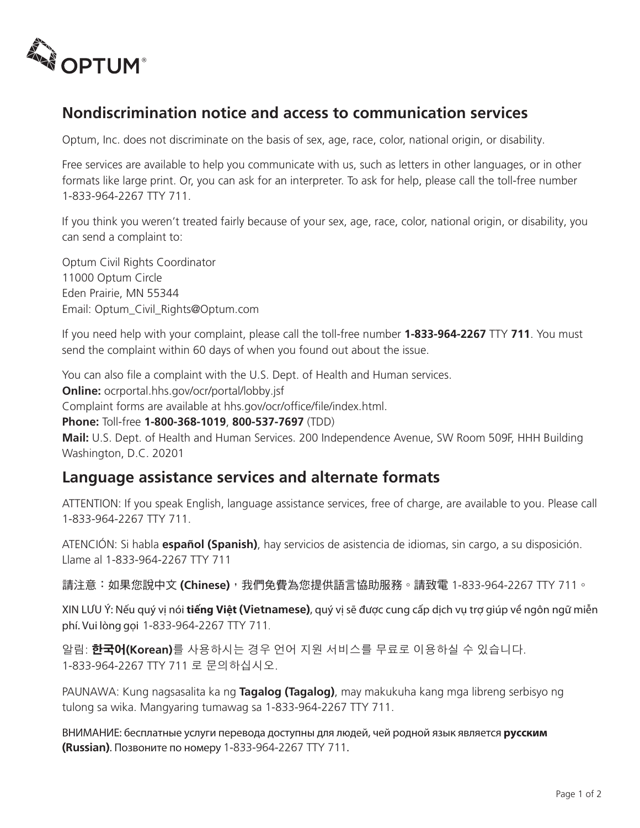

## **Nondiscrimination notice and access to communication services**

Optum, Inc. does not discriminate on the basis of sex, age, race, color, national origin, or disability.

Free services are available to help you communicate with us, such as letters in other languages, or in other formats like large print. Or, you can ask for an interpreter. To ask for help, please call the toll-free number 1-833-964-2267 TTY 711.

If you think you weren't treated fairly because of your sex, age, race, color, national origin, or disability, you can send a complaint to:

Optum Civil Rights Coordinator 11000 Optum Circle Eden Prairie, MN 55344 Email: Optum\_Civil\_Rights@Optum.com

If you need help with your complaint, please call the toll-free number **1-833-964-2267** TTY **711**. You must send the complaint within 60 days of when you found out about the issue.

You can also file a complaint with the U.S. Dept. of Health and Human services.

**Online:** ocrportal.hhs.gov/ocr/portal/lobby.jsf

Complaint forms are available at hhs.gov/ocr/office/file/index.html.

**Phone:** Toll-free **1-800-368-1019**, **800-537-7697** (TDD)

**Mail:** U.S. Dept. of Health and Human Services. 200 Independence Avenue, SW Room 509F, HHH Building Washington, D.C. 20201

## **Language assistance services and alternate formats**

ATTENTION: If you speak English, language assistance services, free of charge, are available to you. Please call 1-833-964-2267 TTY 711.

ATENCIÓN: Si habla **español (Spanish)**, hay servicios de asistencia de idiomas, sin cargo, a su disposición. Llame al 1-833-964-2267 TTY 711

請注意:如果您說中文 **(Chinese)**,我們免費為您提供語言協助服務。請致電 1-833-964-2267 TTY 711。

XIN LƯU Ý: Nếu quý vị nói **tiếng Việt (Vietnamese)**, quý vị sẽ được cung cấp dịch vụ trợ giúp về ngôn ngữ miễn phí. Vui lòng gọi 1-833-964-2267 TTY 711.

알림: 한국어**(Korean)**를 사용하시는 경우 언어 지원 서비스를 무료로 이용하실 수 있습니다. 1-833-964-2267 TTY 711 로 문의하십시오.

PAUNAWA: Kung nagsasalita ka ng **Tagalog (Tagalog)**, may makukuha kang mga libreng serbisyo ng tulong sa wika. Mangyaring tumawag sa 1-833-964-2267 TTY 711.

ВНИМАНИЕ: бесплатные услуги перевода доступны для людей, чей родной язык является **русским (Russian)**. Позвоните по номеру 1-833-964-2267 TTY 711.